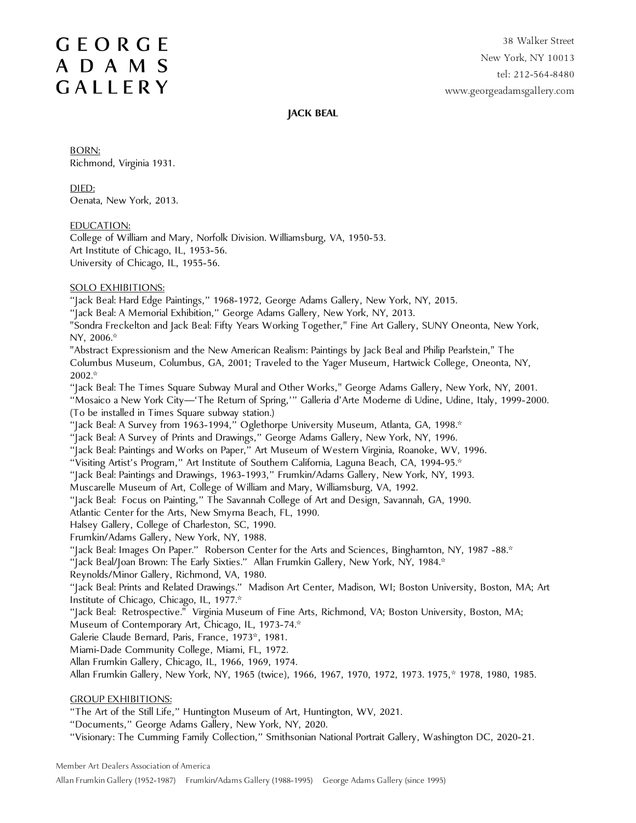38 Walker Street New York, NY 10013 tel: 212-564-8480 www.georgeadamsgallery.com

#### **JACK BEAL**

BORN: Richmond, Virginia 1931.

DIED: Oenata, New York, 2013.

EDUCATION:

College of William and Mary, Norfolk Division. Williamsburg, VA, 1950-53. Art Institute of Chicago, IL, 1953-56. University of Chicago, IL, 1955-56.

#### SOLO EXHIBITIONS:

"Jack Beal: Hard Edge Paintings," 1968-1972, George Adams Gallery, New York, NY, 2015.

"Jack Beal: A Memorial Exhibition," George Adams Gallery, New York, NY, 2013.

"Sondra Freckelton and Jack Beal: Fifty Years Working Together," Fine Art Gallery, SUNY Oneonta, New York, NY, 2006.\*

"Abstract Expressionism and the New American Realism: Paintings by Jack Beal and Philip Pearlstein," The Columbus Museum, Columbus, GA, 2001; Traveled to the Yager Museum, Hartwick College, Oneonta, NY, 2002.\*

"Jack Beal: The Times Square Subway Mural and Other Works," George Adams Gallery, New York, NY, 2001.

"Mosaico a New York City—'The Return of Spring,'" Galleria d'Arte Moderne di Udine, Udine, Italy, 1999-2000. (To be installed in Times Square subway station.)

"Jack Beal: A Survey from 1963-1994," Oglethorpe University Museum, Atlanta, GA, 1998."

"Jack Beal: A Survey of Prints and Drawings," George Adams Gallery, New York, NY, 1996.

"Jack Beal: Paintings and Works on Paper," Art Museum of Western Virginia, Roanoke, WV, 1996.

"Visiting Artist's Program," Art Institute of Southern California, Laguna Beach, CA, 1994-95.\*

"Jack Beal: Paintings and Drawings, 1963-1993," Frumkin/Adams Gallery, New York, NY, 1993.

Muscarelle Museum of Art, College of William and Mary, Williamsburg, VA, 1992.

"Jack Beal: Focus on Painting," The Savannah College of Art and Design, Savannah, GA, 1990.

Atlantic Center for the Arts, New Smyrna Beach, FL, 1990.

Halsey Gallery, College of Charleston, SC, 1990.

Frumkin/Adams Gallery, New York, NY, 1988.

"Jack Beal: Images On Paper." Roberson Center for the Arts and Sciences, Binghamton, NY, 1987 -88.\*

"Jack Beal/Joan Brown: The Early Sixties." Allan Frumkin Gallery, New York, NY, 1984.\*

Reynolds/Minor Gallery, Richmond, VA, 1980.

"Jack Beal: Prints and Related Drawings." Madison Art Center, Madison, WI; Boston University, Boston, MA; Art Institute of Chicago, Chicago, IL, 1977.\*

"Jack Beal: Retrospective." Virginia Museum of Fine Arts, Richmond, VA; Boston University, Boston, MA;

Museum of Contemporary Art, Chicago, IL, 1973-74.\*

Galerie Claude Bernard, Paris, France, 1973\*, 1981.

Miami-Dade Community College, Miami, FL, 1972.

Allan Frumkin Gallery, Chicago, IL, 1966, 1969, 1974.

Allan Frumkin Gallery, New York, NY, 1965 (twice), 1966, 1967, 1970, 1972, 1973. 1975,\* 1978, 1980, 1985.

#### GROUP EXHIBITIONS:

"The Art of the Still Life," Huntington Museum of Art, Huntington, WV, 2021.

"Documents," George Adams Gallery, New York, NY, 2020.

"Visionary: The Cumming Family Collection," Smithsonian National Portrait Gallery, Washington DC, 2020-21.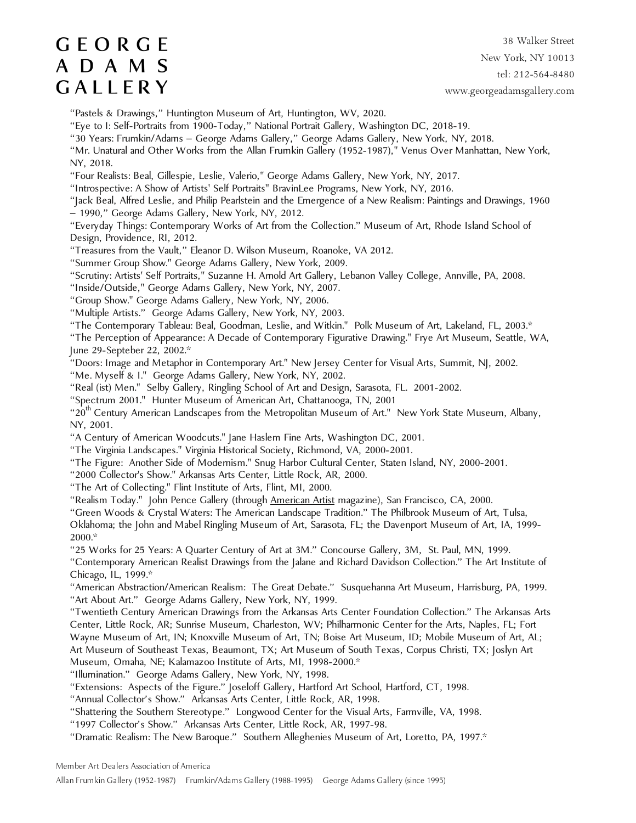38 Walker Street New York, NY 10013 tel: 212-564-8480 www.georgeadamsgallery.com

"Pastels & Drawings," Huntington Museum of Art, Huntington, WV, 2020.

"Eye to I: Self-Portraits from 1900-Today," National Portrait Gallery, Washington DC, 2018-19.

"30 Years: Frumkin/Adams – George Adams Gallery," George Adams Gallery, New York, NY, 2018.

"Mr. Unatural and Other Works from the Allan Frumkin Gallery (1952-1987)," Venus Over Manhattan, New York, NY, 2018.

"Four Realists: Beal, Gillespie, Leslie, Valerio," George Adams Gallery, New York, NY, 2017.

"Introspective: A Show of Artists' Self Portraits" BravinLee Programs, New York, NY, 2016.

"Jack Beal, Alfred Leslie, and Philip Pearlstein and the Emergence of a New Realism: Paintings and Drawings, 1960

– 1990," George Adams Gallery, New York, NY, 2012.

"Everyday Things: Contemporary Works of Art from the Collection." Museum of Art, Rhode Island School of Design, Providence, RI, 2012.

"Treasures from the Vault," Eleanor D. Wilson Museum, Roanoke, VA 2012.

"Summer Group Show." George Adams Gallery, New York, 2009.

"Scrutiny: Artists' Self Portraits," Suzanne H. Arnold Art Gallery, Lebanon Valley College, Annville, PA, 2008.

"Inside/Outside," George Adams Gallery, New York, NY, 2007.

"Group Show." George Adams Gallery, New York, NY, 2006.

"Multiple Artists." George Adams Gallery, New York, NY, 2003.

"The Contemporary Tableau: Beal, Goodman, Leslie, and Witkin." Polk Museum of Art, Lakeland, FL, 2003.\*

"The Perception of Appearance: A Decade of Contemporary Figurative Drawing." Frye Art Museum, Seattle, WA, June 29-Septeber 22, 2002.\*

"Doors: Image and Metaphor in Contemporary Art." New Jersey Center for Visual Arts, Summit, NJ, 2002.

"Me. Myself & I." George Adams Gallery, New York, NY, 2002.

"Real (ist) Men." Selby Gallery, Ringling School of Art and Design, Sarasota, FL. 2001-2002.

"Spectrum 2001." Hunter Museum of American Art, Chattanooga, TN, 2001

"20<sup>th</sup> Century American Landscapes from the Metropolitan Museum of Art." New York State Museum, Albany, NY, 2001.

"A Century of American Woodcuts." Jane Haslem Fine Arts, Washington DC, 2001.

"The Virginia Landscapes." Virginia Historical Society, Richmond, VA, 2000-2001.

"The Figure: Another Side of Modernism." Snug Harbor Cultural Center, Staten Island, NY, 2000-2001.

"2000 Collector's Show." Arkansas Arts Center, Little Rock, AR, 2000.

"The Art of Collecting." Flint Institute of Arts, Flint, MI, 2000.

"Realism Today." John Pence Gallery (through American Artist magazine), San Francisco, CA, 2000.

"Green Woods & Crystal Waters: The American Landscape Tradition." The Philbrook Museum of Art, Tulsa,

Oklahoma; the John and Mabel Ringling Museum of Art, Sarasota, FL; the Davenport Museum of Art, IA, 1999- 2000.\*

"25 Works for 25 Years: A Quarter Century of Art at 3M." Concourse Gallery, 3M, St. Paul, MN, 1999.

"Contemporary American Realist Drawings from the Jalane and Richard Davidson Collection." The Art Institute of Chicago, IL, 1999.\*

"American Abstraction/American Realism: The Great Debate." Susquehanna Art Museum, Harrisburg, PA, 1999. "Art About Art." George Adams Gallery, New York, NY, 1999.

"Twentieth Century American Drawings from the Arkansas Arts Center Foundation Collection." The Arkansas Arts Center, Little Rock, AR; Sunrise Museum, Charleston, WV; Philharmonic Center for the Arts, Naples, FL; Fort Wayne Museum of Art, IN; Knoxville Museum of Art, TN; Boise Art Museum, ID; Mobile Museum of Art, AL; Art Museum of Southeast Texas, Beaumont, TX; Art Museum of South Texas, Corpus Christi, TX; Joslyn Art Museum, Omaha, NE; Kalamazoo Institute of Arts, MI, 1998-2000.\*

"Illumination." George Adams Gallery, New York, NY, 1998.

"Extensions: Aspects of the Figure." Joseloff Gallery, Hartford Art School, Hartford, CT, 1998.

"Annual Collector's Show." Arkansas Arts Center, Little Rock, AR, 1998.

"Shattering the Southern Stereotype." Longwood Center for the Visual Arts, Farmville, VA, 1998.

"1997 Collector's Show." Arkansas Arts Center, Little Rock, AR, 1997-98.

"Dramatic Realism: The New Baroque." Southern Alleghenies Museum of Art, Loretto, PA, 1997.\*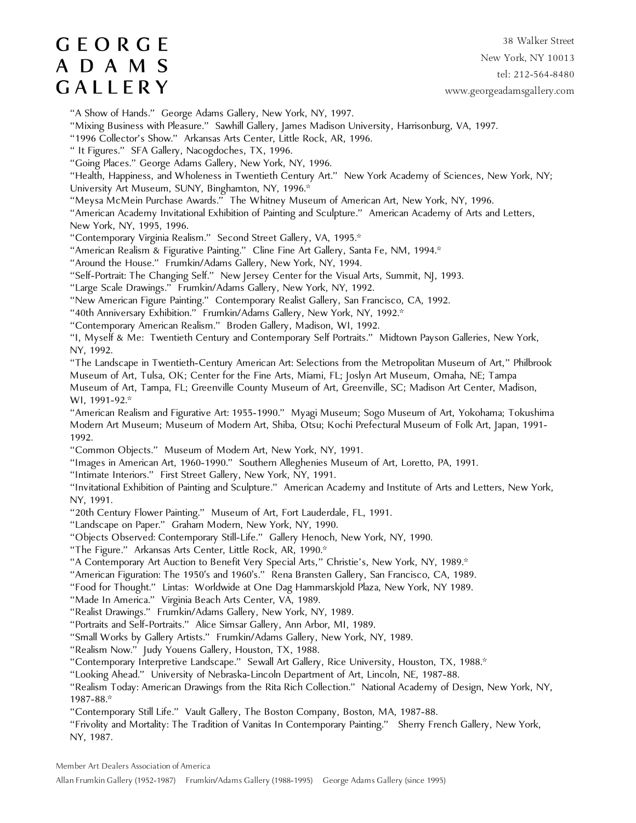38 Walker Street New York, NY 10013 tel: 212-564-8480 www.georgeadamsgallery.com

"A Show of Hands." George Adams Gallery, New York, NY, 1997.

"Mixing Business with Pleasure." Sawhill Gallery, James Madison University, Harrisonburg, VA, 1997.

"1996 Collector's Show." Arkansas Arts Center, Little Rock, AR, 1996.

" It Figures." SFA Gallery, Nacogdoches, TX, 1996.

"Going Places." George Adams Gallery, New York, NY, 1996.

"Health, Happiness, and Wholeness in Twentieth Century Art." New York Academy of Sciences, New York, NY;

University Art Museum, SUNY, Binghamton, NY, 1996.\*

"Meysa McMein Purchase Awards." The Whitney Museum of American Art, New York, NY, 1996.

"American Academy Invitational Exhibition of Painting and Sculpture." American Academy of Arts and Letters, New York, NY, 1995, 1996.

"Contemporary Virginia Realism." Second Street Gallery, VA, 1995.\*

"American Realism & Figurative Painting." Cline Fine Art Gallery, Santa Fe, NM, 1994.\*

"Around the House." Frumkin/Adams Gallery, New York, NY, 1994.

"Self-Portrait: The Changing Self." New Jersey Center for the Visual Arts, Summit, NJ, 1993.

"Large Scale Drawings." Frumkin/Adams Gallery, New York, NY, 1992.

"New American Figure Painting." Contemporary Realist Gallery, San Francisco, CA, 1992.

"40th Anniversary Exhibition." Frumkin/Adams Gallery, New York, NY, 1992.\*

"Contemporary American Realism." Broden Gallery, Madison, WI, 1992.

"I, Myself & Me: Twentieth Century and Contemporary Self Portraits." Midtown Payson Galleries, New York, NY, 1992.

"The Landscape in Twentieth-Century American Art: Selections from the Metropolitan Museum of Art," Philbrook Museum of Art, Tulsa, OK; Center for the Fine Arts, Miami, FL; Joslyn Art Museum, Omaha, NE; Tampa

Museum of Art, Tampa, FL; Greenville County Museum of Art, Greenville, SC; Madison Art Center, Madison, WI, 1991-92.\*

"American Realism and Figurative Art: 1955-1990." Myagi Museum; Sogo Museum of Art, Yokohama; Tokushima Modern Art Museum; Museum of Modern Art, Shiba, Otsu; Kochi Prefectural Museum of Folk Art, Japan, 1991- 1992.

"Common Objects." Museum of Modern Art, New York, NY, 1991.

"Images in American Art, 1960-1990." Southern Alleghenies Museum of Art, Loretto, PA, 1991.

"Intimate Interiors." First Street Gallery, New York, NY, 1991.

"Invitational Exhibition of Painting and Sculpture." American Academy and Institute of Arts and Letters, New York, NY, 1991.

"20th Century Flower Painting." Museum of Art, Fort Lauderdale, FL, 1991.

"Landscape on Paper." Graham Modern, New York, NY, 1990.

"Objects Observed: Contemporary Still-Life." Gallery Henoch, New York, NY, 1990.

"The Figure." Arkansas Arts Center, Little Rock, AR, 1990.\*

"A Contemporary Art Auction to Benefit Very Special Arts," Christie's, New York, NY, 1989.\*

"American Figuration: The 1950's and 1960's." Rena Bransten Gallery, San Francisco, CA, 1989.

"Food for Thought." Lintas: Worldwide at One Dag Hammarskjold Plaza, New York, NY 1989.

"Made In America." Virginia Beach Arts Center, VA, 1989.

"Realist Drawings." Frumkin/Adams Gallery, New York, NY, 1989.

"Portraits and Self-Portraits." Alice Simsar Gallery, Ann Arbor, MI, 1989.

"Small Works by Gallery Artists." Frumkin/Adams Gallery, New York, NY, 1989.

"Realism Now." Judy Youens Gallery, Houston, TX, 1988.

"Contemporary Interpretive Landscape." Sewall Art Gallery, Rice University, Houston, TX, 1988.\*

"Looking Ahead." University of Nebraska-Lincoln Department of Art, Lincoln, NE, 1987-88.

"Realism Today: American Drawings from the Rita Rich Collection." National Academy of Design, New York, NY, 1987-88.\*

"Contemporary Still Life." Vault Gallery, The Boston Company, Boston, MA, 1987-88.

"Frivolity and Mortality: The Tradition of Vanitas In Contemporary Painting." Sherry French Gallery, New York, NY, 1987.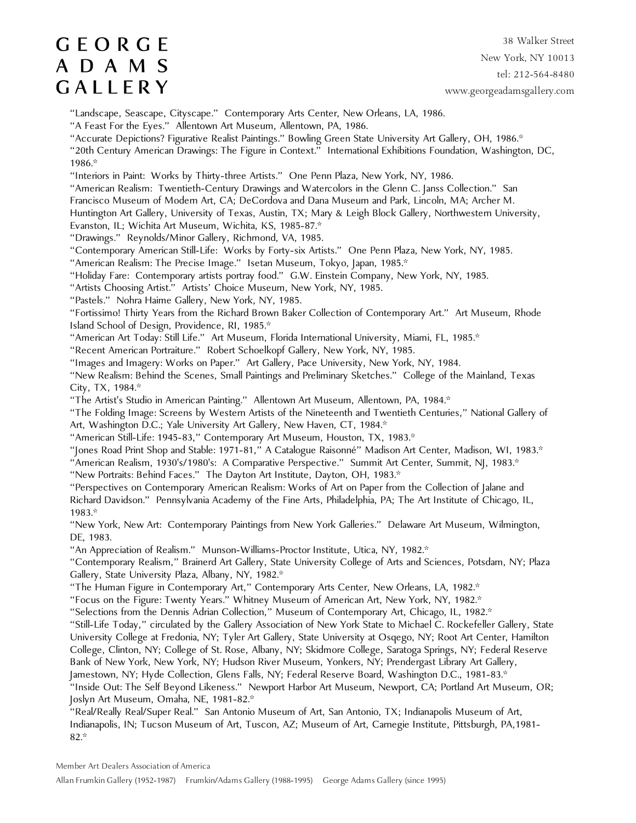38 Walker Street New York, NY 10013 tel: 212-564-8480 www.georgeadamsgallery.com

"Landscape, Seascape, Cityscape." Contemporary Arts Center, New Orleans, LA, 1986.

"A Feast For the Eyes." Allentown Art Museum, Allentown, PA, 1986.

"Accurate Depictions? Figurative Realist Paintings." Bowling Green State University Art Gallery, OH, 1986.\*

"20th Century American Drawings: The Figure in Context." International Exhibitions Foundation, Washington, DC, 1986.\*

"Interiors in Paint: Works by Thirty-three Artists." One Penn Plaza, New York, NY, 1986.

"American Realism: Twentieth-Century Drawings and Watercolors in the Glenn C. Janss Collection." San

Francisco Museum of Modern Art, CA; DeCordova and Dana Museum and Park, Lincoln, MA; Archer M.

Huntington Art Gallery, University of Texas, Austin, TX; Mary & Leigh Block Gallery, Northwestern University,

Evanston, IL; Wichita Art Museum, Wichita, KS, 1985-87.\*

"Drawings." Reynolds/Minor Gallery, Richmond, VA, 1985.

"Contemporary American Still-Life: Works by Forty-six Artists." One Penn Plaza, New York, NY, 1985.

"American Realism: The Precise Image." Isetan Museum, Tokyo, Japan, 1985.\*

"Holiday Fare: Contemporary artists portray food." G.W. Einstein Company, New York, NY, 1985.

"Artists Choosing Artist." Artists' Choice Museum, New York, NY, 1985.

"Pastels." Nohra Haime Gallery, New York, NY, 1985.

"Fortissimo! Thirty Years from the Richard Brown Baker Collection of Contemporary Art." Art Museum, Rhode Island School of Design, Providence, RI, 1985.\*

"American Art Today: Still Life." Art Museum, Florida International University, Miami, FL, 1985.\*

"Recent American Portraiture." Robert Schoelkopf Gallery, New York, NY, 1985.

"Images and Imagery: Works on Paper." Art Gallery, Pace University, New York, NY, 1984.

"New Realism: Behind the Scenes, Small Paintings and Preliminary Sketches." College of the Mainland, Texas City, TX, 1984.\*

"The Artist's Studio in American Painting." Allentown Art Museum, Allentown, PA, 1984.\*

"The Folding Image: Screens by Western Artists of the Nineteenth and Twentieth Centuries," National Gallery of Art, Washington D.C.; Yale University Art Gallery, New Haven, CT, 1984.\*

"American Still-Life: 1945-83," Contemporary Art Museum, Houston, TX, 1983.\*

"Jones Road Print Shop and Stable: 1971-81," A Catalogue Raisonné" Madison Art Center, Madison, WI, 1983.\*

"American Realism, 1930's/1980's: A Comparative Perspective." Summit Art Center, Summit, NJ, 1983.\*

"New Portraits: Behind Faces." The Dayton Art Institute, Dayton, OH, 1983.\*

"Perspectives on Contemporary American Realism: Works of Art on Paper from the Collection of Jalane and Richard Davidson." Pennsylvania Academy of the Fine Arts, Philadelphia, PA; The Art Institute of Chicago, IL, 1983.\*

"New York, New Art: Contemporary Paintings from New York Galleries." Delaware Art Museum, Wilmington, DE, 1983.

"An Appreciation of Realism." Munson-Williams-Proctor Institute, Utica, NY, 1982.\*

"Contemporary Realism," Brainerd Art Gallery, State University College of Arts and Sciences, Potsdam, NY; Plaza Gallery, State University Plaza, Albany, NY, 1982.\*

"The Human Figure in Contemporary Art," Contemporary Arts Center, New Orleans, LA, 1982.\*

"Focus on the Figure: Twenty Years." Whitney Museum of American Art, New York, NY, 1982.\*

"Selections from the Dennis Adrian Collection," Museum of Contemporary Art, Chicago, IL, 1982.\*

"Still-Life Today," circulated by the Gallery Association of New York State to Michael C. Rockefeller Gallery, State University College at Fredonia, NY; Tyler Art Gallery, State University at Osqego, NY; Root Art Center, Hamilton College, Clinton, NY; College of St. Rose, Albany, NY; Skidmore College, Saratoga Springs, NY; Federal Reserve Bank of New York, New York, NY; Hudson River Museum, Yonkers, NY; Prendergast Library Art Gallery, Jamestown, NY; Hyde Collection, Glens Falls, NY; Federal Reserve Board, Washington D.C., 1981-83.\*

"Inside Out: The Self Beyond Likeness." Newport Harbor Art Museum, Newport, CA; Portland Art Museum, OR; Joslyn Art Museum, Omaha, NE, 1981-82.\*

"Real/Really Real/Super Real." San Antonio Museum of Art, San Antonio, TX; Indianapolis Museum of Art, Indianapolis, IN; Tucson Museum of Art, Tuscon, AZ; Museum of Art, Carnegie Institute, Pittsburgh, PA,1981- 82.\*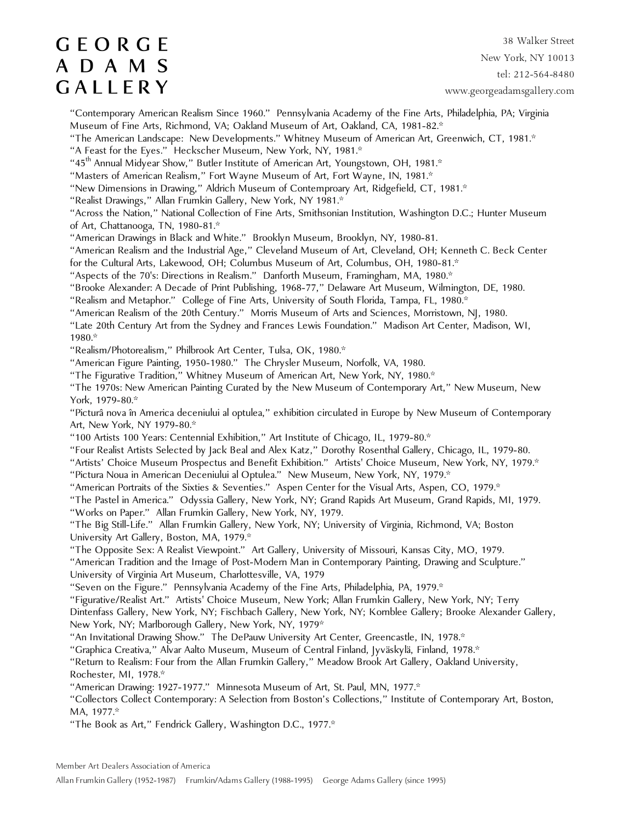38 Walker Street New York, NY 10013 tel: 212-564-8480 www.georgeadamsgallery.com

"Contemporary American Realism Since 1960." Pennsylvania Academy of the Fine Arts, Philadelphia, PA; Virginia Museum of Fine Arts, Richmond, VA; Oakland Museum of Art, Oakland, CA, 1981-82.\*

"The American Landscape: New Developments." Whitney Museum of American Art, Greenwich, CT, 1981.\*

"A Feast for the Eyes." Heckscher Museum, New York, NY, 1981.\*

"45<sup>th</sup> Annual Midyear Show," Butler Institute of American Art, Youngstown, OH, 1981.\*

"Masters of American Realism," Fort Wayne Museum of Art, Fort Wayne, IN, 1981.\*

"New Dimensions in Drawing," Aldrich Museum of Contemproary Art, Ridgefield, CT, 1981.\*

"Realist Drawings," Allan Frumkin Gallery, New York, NY 1981.\*

"Across the Nation," National Collection of Fine Arts, Smithsonian Institution, Washington D.C.; Hunter Museum of Art, Chattanooga, TN, 1980-81.\*

"American Drawings in Black and White." Brooklyn Museum, Brooklyn, NY, 1980-81.

"American Realism and the Industrial Age," Cleveland Museum of Art, Cleveland, OH; Kenneth C. Beck Center for the Cultural Arts, Lakewood, OH; Columbus Museum of Art, Columbus, OH, 1980-81.\*

"Aspects of the 70's: Directions in Realism." Danforth Museum, Framingham, MA, 1980.\*

"Brooke Alexander: A Decade of Print Publishing, 1968-77," Delaware Art Museum, Wilmington, DE, 1980.

"Realism and Metaphor." College of Fine Arts, University of South Florida, Tampa, FL, 1980.\*

"American Realism of the 20th Century." Morris Museum of Arts and Sciences, Morristown, NJ, 1980.

"Late 20th Century Art from the Sydney and Frances Lewis Foundation." Madison Art Center, Madison, WI, 1980.\*

"Realism/Photorealism," Philbrook Art Center, Tulsa, OK, 1980.\*

"American Figure Painting, 1950-1980." The Chrysler Museum, Norfolk, VA, 1980.

"The Figurative Tradition," Whitney Museum of American Art, New York, NY, 1980.\*

"The 1970s: New American Painting Curated by the New Museum of Contemporary Art," New Museum, New York, 1979-80.\*

"Picturâ nova în America deceniului al optulea," exhibition circulated in Europe by New Museum of Contemporary Art, New York, NY 1979-80.\*

"100 Artists 100 Years: Centennial Exhibition," Art Institute of Chicago, IL, 1979-80.\*

"Four Realist Artists Selected by Jack Beal and Alex Katz," Dorothy Rosenthal Gallery, Chicago, IL, 1979-80.

"Artists' Choice Museum Prospectus and Benefit Exhibition." Artists' Choice Museum, New York, NY, 1979.\*

"Pictura Noua in American Deceniului al Optulea." New Museum, New York, NY, 1979.\*

"American Portraits of the Sixties & Seventies." Aspen Center for the Visual Arts, Aspen, CO, 1979.\*

"The Pastel in America." Odyssia Gallery, New York, NY; Grand Rapids Art Museum, Grand Rapids, MI, 1979.

"Works on Paper." Allan Frumkin Gallery, New York, NY, 1979.

"The Big Still-Life." Allan Frumkin Gallery, New York, NY; University of Virginia, Richmond, VA; Boston University Art Gallery, Boston, MA, 1979.\*

"The Opposite Sex: A Realist Viewpoint." Art Gallery, University of Missouri, Kansas City, MO, 1979.

"American Tradition and the Image of Post-Modern Man in Contemporary Painting, Drawing and Sculpture." University of Virginia Art Museum, Charlottesville, VA, 1979

"Seven on the Figure." Pennsylvania Academy of the Fine Arts, Philadelphia, PA, 1979.\*

"Figurative/Realist Art." Artists' Choice Museum, New York; Allan Frumkin Gallery, New York, NY; Terry Dintenfass Gallery, New York, NY; Fischbach Gallery, New York, NY; Kornblee Gallery; Brooke Alexander Gallery, New York, NY; Marlborough Gallery, New York, NY, 1979\*

"An Invitational Drawing Show." The DePauw University Art Center, Greencastle, IN, 1978.\*

"Graphica Creativa," Alvar Aalto Museum, Museum of Central Finland, Jyväskylä, Finland, 1978.\*

"Return to Realism: Four from the Allan Frumkin Gallery," Meadow Brook Art Gallery, Oakland University, Rochester, MI, 1978.\*

"American Drawing: 1927-1977." Minnesota Museum of Art, St. Paul, MN, 1977.\*

"Collectors Collect Contemporary: A Selection from Boston's Collections," Institute of Contemporary Art, Boston, MA, 1977.\*

"The Book as Art," Fendrick Gallery, Washington D.C., 1977.\*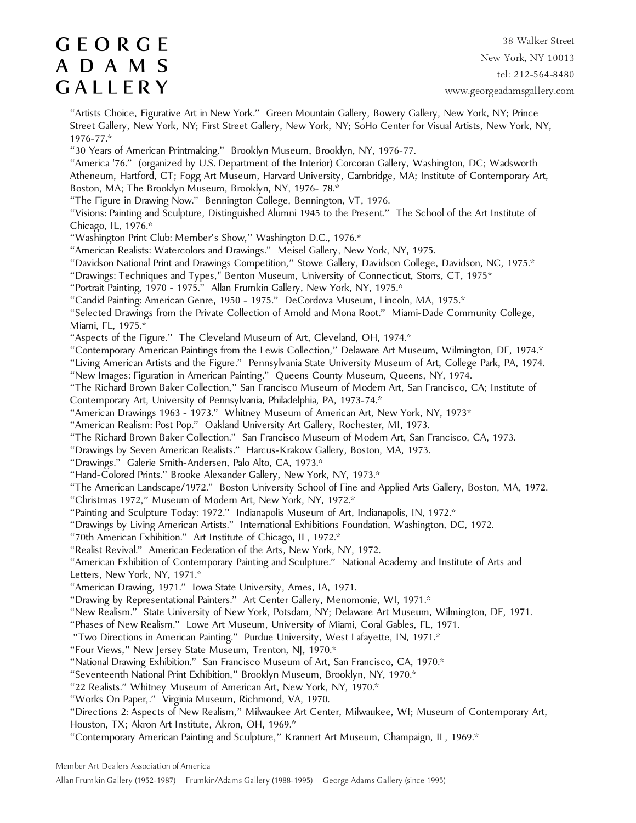38 Walker Street New York, NY 10013 tel: 212-564-8480 www.georgeadamsgallery.com

"Artists Choice, Figurative Art in New York." Green Mountain Gallery, Bowery Gallery, New York, NY; Prince Street Gallery, New York, NY; First Street Gallery, New York, NY; SoHo Center for Visual Artists, New York, NY, 1976-77.\*

"30 Years of American Printmaking." Brooklyn Museum, Brooklyn, NY, 1976-77.

"America '76." (organized by U.S. Department of the Interior) Corcoran Gallery, Washington, DC; Wadsworth Atheneum, Hartford, CT; Fogg Art Museum, Harvard University, Cambridge, MA; Institute of Contemporary Art, Boston, MA; The Brooklyn Museum, Brooklyn, NY, 1976- 78.\*

"The Figure in Drawing Now." Bennington College, Bennington, VT, 1976.

"Visions: Painting and Sculpture, Distinguished Alumni 1945 to the Present." The School of the Art Institute of Chicago, IL, 1976.\*

"Washington Print Club: Member's Show," Washington D.C., 1976.\*

"American Realists: Watercolors and Drawings." Meisel Gallery, New York, NY, 1975.

"Davidson National Print and Drawings Competition," Stowe Gallery, Davidson College, Davidson, NC, 1975.\*

"Drawings: Techniques and Types," Benton Museum, University of Connecticut, Storrs, CT, 1975\*

"Portrait Painting, 1970 - 1975." Allan Frumkin Gallery, New York, NY, 1975.\*

"Candid Painting: American Genre, 1950 - 1975." DeCordova Museum, Lincoln, MA, 1975.\*

"Selected Drawings from the Private Collection of Arnold and Mona Root." Miami-Dade Community College, Miami, FL, 1975.\*

"Aspects of the Figure." The Cleveland Museum of Art, Cleveland, OH, 1974.\*

"Contemporary American Paintings from the Lewis Collection," Delaware Art Museum, Wilmington, DE, 1974.\*

"Living American Artists and the Figure." Pennsylvania State University Museum of Art, College Park, PA, 1974.

"New Images: Figuration in American Painting." Queens County Museum, Queens, NY, 1974.

"The Richard Brown Baker Collection," San Francisco Museum of Modern Art, San Francisco, CA; Institute of Contemporary Art, University of Pennsylvania, Philadelphia, PA, 1973-74.\*

"American Drawings 1963 - 1973." Whitney Museum of American Art, New York, NY, 1973\*

"American Realism: Post Pop." Oakland University Art Gallery, Rochester, MI, 1973.

"The Richard Brown Baker Collection." San Francisco Museum of Modern Art, San Francisco, CA, 1973.

"Drawings by Seven American Realists." Harcus-Krakow Gallery, Boston, MA, 1973.

"Drawings." Galerie Smith-Andersen, Palo Alto, CA, 1973.\*

"Hand-Colored Prints." Brooke Alexander Gallery, New York, NY, 1973.\*

"The American Landscape/1972." Boston University School of Fine and Applied Arts Gallery, Boston, MA, 1972.

"Christmas 1972," Museum of Modern Art, New York, NY, 1972.\*

"Painting and Sculpture Today: 1972." Indianapolis Museum of Art, Indianapolis, IN, 1972.\*

"Drawings by Living American Artists." International Exhibitions Foundation, Washington, DC, 1972.

"70th American Exhibition." Art Institute of Chicago, IL, 1972.\*

"Realist Revival." American Federation of the Arts, New York, NY, 1972.

"American Exhibition of Contemporary Painting and Sculpture." National Academy and Institute of Arts and Letters, New York, NY, 1971.\*

"American Drawing, 1971." Iowa State University, Ames, IA, 1971.

"Drawing by Representational Painters." Art Center Gallery, Menomonie, WI, 1971.\*

"New Realism." State University of New York, Potsdam, NY; Delaware Art Museum, Wilmington, DE, 1971.

"Phases of New Realism." Lowe Art Museum, University of Miami, Coral Gables, FL, 1971.

"Two Directions in American Painting." Purdue University, West Lafayette, IN, 1971.\*

"Four Views," New Jersey State Museum, Trenton, NJ, 1970.\*

"National Drawing Exhibition." San Francisco Museum of Art, San Francisco, CA, 1970.\*

"Seventeenth National Print Exhibition," Brooklyn Museum, Brooklyn, NY, 1970.\*

"22 Realists." Whitney Museum of American Art, New York, NY, 1970.\*

"Works On Paper,." Virginia Museum, Richmond, VA, 1970.

"Directions 2: Aspects of New Realism," Milwaukee Art Center, Milwaukee, WI; Museum of Contemporary Art, Houston, TX; Akron Art Institute, Akron, OH, 1969.\*

"Contemporary American Painting and Sculpture," Krannert Art Museum, Champaign, IL, 1969.\*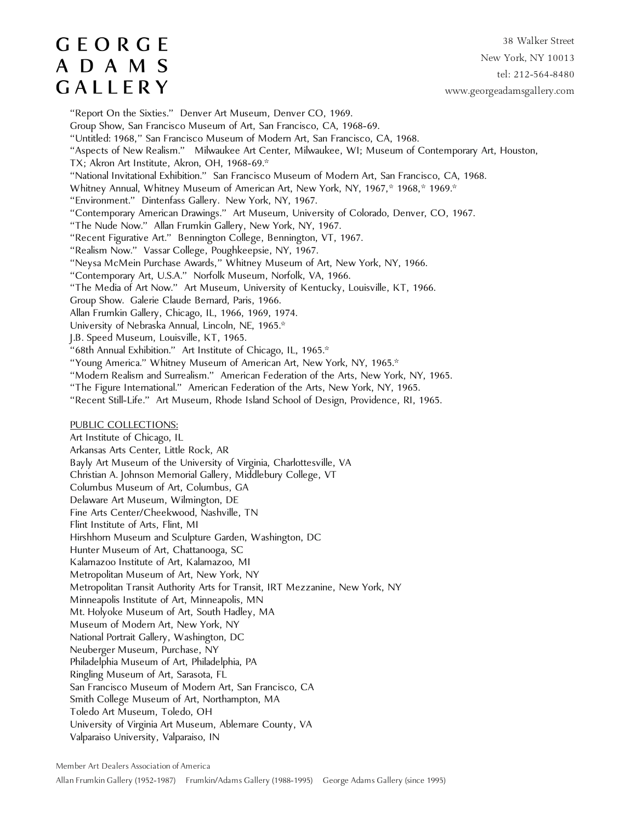## **GEORGE** A D A M S GALLERY

38 Walker Street New York, NY 10013 tel: 212-564-8480 www.georgeadamsgallery.com

"Report On the Sixties." Denver Art Museum, Denver CO, 1969. Group Show, San Francisco Museum of Art, San Francisco, CA, 1968-69. "Untitled: 1968," San Francisco Museum of Modern Art, San Francisco, CA, 1968. "Aspects of New Realism." Milwaukee Art Center, Milwaukee, WI; Museum of Contemporary Art, Houston, TX; Akron Art Institute, Akron, OH, 1968-69.\* "National Invitational Exhibition." San Francisco Museum of Modern Art, San Francisco, CA, 1968. Whitney Annual, Whitney Museum of American Art, New York, NY, 1967,\* 1968,\* 1969.\* "Environment." Dintenfass Gallery. New York, NY, 1967. "Contemporary American Drawings." Art Museum, University of Colorado, Denver, CO, 1967. "The Nude Now." Allan Frumkin Gallery, New York, NY, 1967. "Recent Figurative Art." Bennington College, Bennington, VT, 1967. "Realism Now." Vassar College, Poughkeepsie, NY, 1967. "Neysa McMein Purchase Awards," Whitney Museum of Art, New York, NY, 1966. "Contemporary Art, U.S.A." Norfolk Museum, Norfolk, VA, 1966. "The Media of Art Now." Art Museum, University of Kentucky, Louisville, KT, 1966. Group Show. Galerie Claude Bernard, Paris, 1966. Allan Frumkin Gallery, Chicago, IL, 1966, 1969, 1974. University of Nebraska Annual, Lincoln, NE, 1965.\* J.B. Speed Museum, Louisville, KT, 1965. "68th Annual Exhibition." Art Institute of Chicago, IL, 1965.\* "Young America." Whitney Museum of American Art, New York, NY, 1965.\* "Modern Realism and Surrealism." American Federation of the Arts, New York, NY, 1965. "The Figure International." American Federation of the Arts, New York, NY, 1965. "Recent Still-Life." Art Museum, Rhode Island School of Design, Providence, RI, 1965. PUBLIC COLLECTIONS: Art Institute of Chicago, IL Arkansas Arts Center, Little Rock, AR Bayly Art Museum of the University of Virginia, Charlottesville, VA Christian A. Johnson Memorial Gallery, Middlebury College, VT Columbus Museum of Art, Columbus, GA Delaware Art Museum, Wilmington, DE Fine Arts Center/Cheekwood, Nashville, TN Flint Institute of Arts, Flint, MI Hirshhorn Museum and Sculpture Garden, Washington, DC Hunter Museum of Art, Chattanooga, SC Kalamazoo Institute of Art, Kalamazoo, MI Metropolitan Museum of Art, New York, NY Metropolitan Transit Authority Arts for Transit, IRT Mezzanine, New York, NY Minneapolis Institute of Art, Minneapolis, MN Mt. Holyoke Museum of Art, South Hadley, MA Museum of Modern Art, New York, NY National Portrait Gallery, Washington, DC Neuberger Museum, Purchase, NY Philadelphia Museum of Art, Philadelphia, PA Ringling Museum of Art, Sarasota, FL San Francisco Museum of Modern Art, San Francisco, CA Smith College Museum of Art, Northampton, MA Toledo Art Museum, Toledo, OH University of Virginia Art Museum, Ablemare County, VA Valparaiso University, Valparaiso, IN